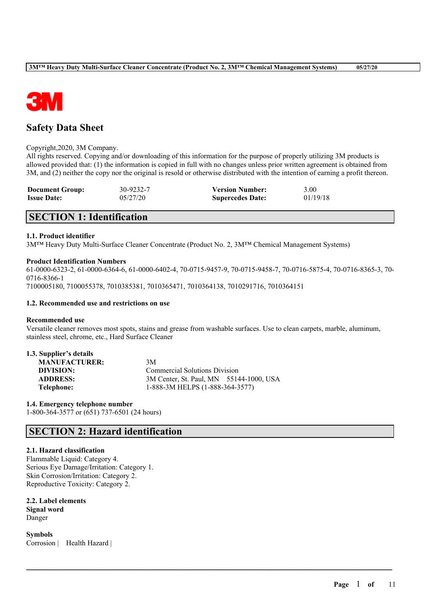

# **Safety Data Sheet**

#### Copyright,2020, 3M Company.

All rights reserved. Copying and/or downloading of this information for the purpose of properly utilizing 3M products is allowed provided that: (1) the information is copied in full with no changes unless prior written agreement is obtained from 3M, and (2) neither the copy nor the original is resold or otherwise distributed with the intention of earning a profit thereon.

| <b>Document Group:</b> | 30-9232-7 | <b>Version Number:</b>  | 3.00     |
|------------------------|-----------|-------------------------|----------|
| <b>Issue Date:</b>     | 05/27/20  | <b>Supercedes Date:</b> | 01/19/18 |

# **SECTION 1: Identification**

# **1.1. Product identifier**

3M™ Heavy Duty Multi-Surface Cleaner Concentrate (Product No. 2, 3M™ Chemical Management Systems)

### **Product Identification Numbers**

61-0000-6323-2, 61-0000-6364-6, 61-0000-6402-4, 70-0715-9457-9, 70-0715-9458-7, 70-0716-5875-4, 70-0716-8365-3, 70- 0716-8366-1

7100005180, 7100055378, 7010385381, 7010365471, 7010364138, 7010291716, 7010364151

### **1.2. Recommended use and restrictions on use**

### **Recommended use**

Versatile cleaner removes most spots, stains and grease from washable surfaces. Use to clean carpets, marble, aluminum, stainless steel, chrome, etc., Hard Surface Cleaner

 $\mathcal{L}_\mathcal{L} = \mathcal{L}_\mathcal{L} = \mathcal{L}_\mathcal{L} = \mathcal{L}_\mathcal{L} = \mathcal{L}_\mathcal{L} = \mathcal{L}_\mathcal{L} = \mathcal{L}_\mathcal{L} = \mathcal{L}_\mathcal{L} = \mathcal{L}_\mathcal{L} = \mathcal{L}_\mathcal{L} = \mathcal{L}_\mathcal{L} = \mathcal{L}_\mathcal{L} = \mathcal{L}_\mathcal{L} = \mathcal{L}_\mathcal{L} = \mathcal{L}_\mathcal{L} = \mathcal{L}_\mathcal{L} = \mathcal{L}_\mathcal{L}$ 

| 1.3. Supplier's details |                                         |
|-------------------------|-----------------------------------------|
| <b>MANUFACTURER:</b>    | 3M                                      |
| DIVISION:               | <b>Commercial Solutions Division</b>    |
| <b>ADDRESS:</b>         | 3M Center, St. Paul, MN 55144-1000, USA |
| Telephone:              | 1-888-3M HELPS (1-888-364-3577)         |

**1.4. Emergency telephone number** 1-800-364-3577 or (651) 737-6501 (24 hours)

# **SECTION 2: Hazard identification**

# **2.1. Hazard classification**

Flammable Liquid: Category 4. Serious Eye Damage/Irritation: Category 1. Skin Corrosion/Irritation: Category 2. Reproductive Toxicity: Category 2.

**2.2. Label elements Signal word** Danger

**Symbols** Corrosion | Health Hazard |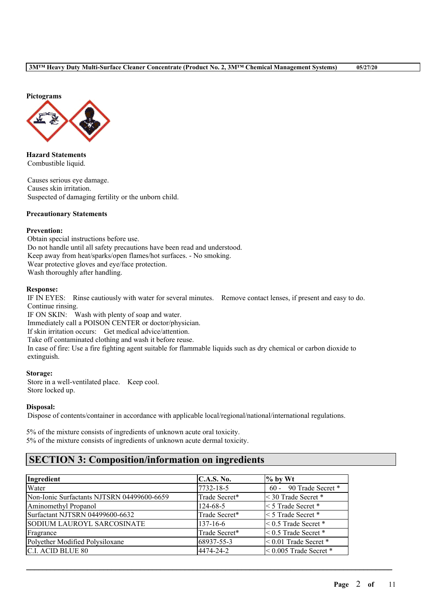**Pictograms**



**Hazard Statements** Combustible liquid.

Causes serious eye damage. Causes skin irritation. Suspected of damaging fertility or the unborn child.

## **Precautionary Statements**

### **Prevention:**

Obtain special instructions before use. Do not handle until all safety precautions have been read and understood. Keep away from heat/sparks/open flames/hot surfaces. - No smoking. Wear protective gloves and eye/face protection. Wash thoroughly after handling.

### **Response:**

IF IN EYES: Rinse cautiously with water for several minutes. Remove contact lenses, if present and easy to do. Continue rinsing.

IF ON SKIN: Wash with plenty of soap and water. Immediately call a POISON CENTER or doctor/physician. If skin irritation occurs: Get medical advice/attention. Take off contaminated clothing and wash it before reuse. In case of fire: Use a fire fighting agent suitable for flammable liquids such as dry chemical or carbon dioxide to extinguish.

### **Storage:**

Store in a well-ventilated place. Keep cool. Store locked up.

# **Disposal:**

Dispose of contents/container in accordance with applicable local/regional/national/international regulations.

5% of the mixture consists of ingredients of unknown acute oral toxicity. 5% of the mixture consists of ingredients of unknown acute dermal toxicity.

# **SECTION 3: Composition/information on ingredients**

| Ingredient                                 | <b>C.A.S. No.</b> | $%$ by Wt                  |
|--------------------------------------------|-------------------|----------------------------|
| Water                                      | 7732-18-5         | $60 - 90$ Trade Secret *   |
| Non-Ionic Surfactants NJTSRN 04499600-6659 | Trade Secret*     | $\leq$ 30 Trade Secret $*$ |
| Aminomethyl Propanol                       | $124 - 68 - 5$    | $<$ 5 Trade Secret $*$     |
| Surfactant NJTSRN 04499600-6632            | Trade Secret*     | $<$ 5 Trade Secret $*$     |
| <b>SODIUM LAUROYL SARCOSINATE</b>          | $137 - 16 - 6$    | $< 0.5$ Trade Secret $*$   |
| Fragrance                                  | Trade Secret*     | $< 0.5$ Trade Secret $*$   |
| Polyether Modified Polysiloxane            | 68937-55-3        | $< 0.01$ Trade Secret $*$  |
| <b>C.I. ACID BLUE 80</b>                   | 4474-24-2         | $< 0.005$ Trade Secret *   |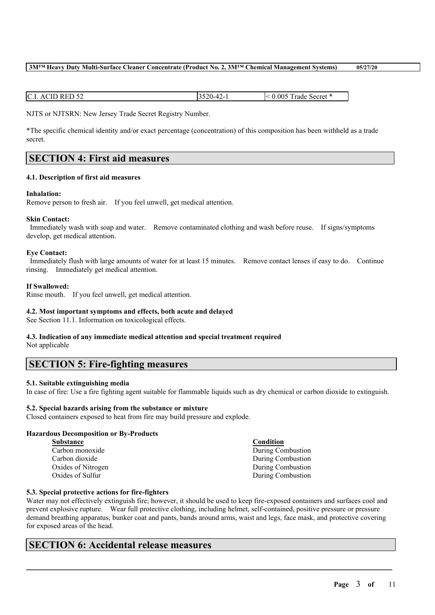Water may not effectively extinguish fire; however, it should be used to keep fire-exposed containers and surfaces cool and prevent explosive rupture. Wear full protective clothing, including helmet, self-contained, positive pressure or pressure demand breathing apparatus, bunker coat and pants, bands around arms, waist and legs, face mask, and protective covering for exposed areas of the head.

 $\mathcal{L}_\mathcal{L} = \mathcal{L}_\mathcal{L} = \mathcal{L}_\mathcal{L} = \mathcal{L}_\mathcal{L} = \mathcal{L}_\mathcal{L} = \mathcal{L}_\mathcal{L} = \mathcal{L}_\mathcal{L} = \mathcal{L}_\mathcal{L} = \mathcal{L}_\mathcal{L} = \mathcal{L}_\mathcal{L} = \mathcal{L}_\mathcal{L} = \mathcal{L}_\mathcal{L} = \mathcal{L}_\mathcal{L} = \mathcal{L}_\mathcal{L} = \mathcal{L}_\mathcal{L} = \mathcal{L}_\mathcal{L} = \mathcal{L}_\mathcal{L}$ 

# **SECTION 6: Accidental release measures**

# $\vert$  C.I. ACID RED 52  $\vert$  3520-42-1  $\vert$  < 0.005 Trade Secret \*

NJTS or NJTSRN: New Jersey Trade Secret Registry Number.

\*The specific chemical identity and/or exact percentage (concentration) of this composition has been withheld as a trade secret.

# **SECTION 4: First aid measures**

# **4.1. Description of first aid measures**

# **Inhalation:**

Remove person to fresh air. If you feel unwell, get medical attention.

# **Skin Contact:**

Immediately wash with soap and water. Remove contaminated clothing and wash before reuse. If signs/symptoms develop, get medical attention.

# **Eye Contact:**

Immediately flush with large amounts of water for at least 15 minutes. Remove contact lenses if easy to do. Continue rinsing. Immediately get medical attention.

# **If Swallowed:**

Rinse mouth. If you feel unwell, get medical attention.

# **4.2. Most important symptoms and effects, both acute and delayed**

See Section 11.1. Information on toxicological effects.

# **4.3. Indication of any immediate medical attention and special treatment required**

Not applicable

# **SECTION 5: Fire-fighting measures**

# **5.1. Suitable extinguishing media**

In case of fire: Use a fire fighting agent suitable for flammable liquids such as dry chemical or carbon dioxide to extinguish.

# **5.2. Special hazards arising from the substance or mixture**

Closed containers exposed to heat from fire may build pressure and explode.

# **Hazardous Decomposition or By-Products**

**5.3. Special protective actions for fire-fighters**

| Substance          |
|--------------------|
| Carbon monoxide    |
| Carbon dioxide     |
| Oxides of Nitrogen |
| Oxides of Sulfur   |
|                    |

**Substance Condition** During Combustion

During Combustion During Combustion During Combustion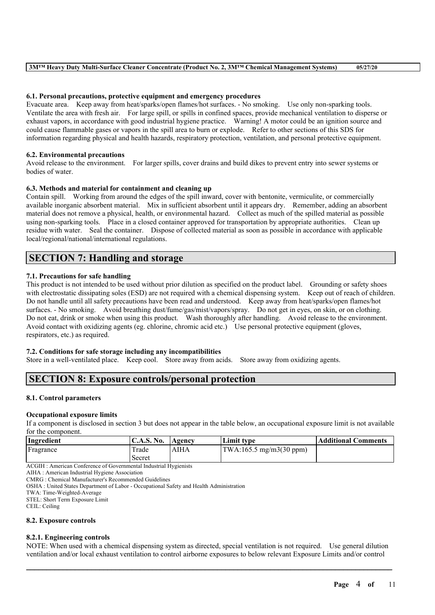## **6.1. Personal precautions, protective equipment and emergency procedures**

Evacuate area. Keep away from heat/sparks/open flames/hot surfaces. - No smoking. Use only non-sparking tools. Ventilate the area with fresh air. For large spill, or spills in confined spaces, provide mechanical ventilation to disperse or exhaust vapors, in accordance with good industrial hygiene practice. Warning! A motor could be an ignition source and could cause flammable gases or vapors in the spill area to burn or explode. Refer to other sections of this SDS for information regarding physical and health hazards, respiratory protection, ventilation, and personal protective equipment.

# **6.2. Environmental precautions**

Avoid release to the environment. For larger spills, cover drains and build dikes to prevent entry into sewer systems or bodies of water.

### **6.3. Methods and material for containment and cleaning up**

Contain spill. Working from around the edges of the spill inward, cover with bentonite, vermiculite, or commercially available inorganic absorbent material. Mix in sufficient absorbent until it appears dry. Remember, adding an absorbent material does not remove a physical, health, or environmental hazard. Collect as much of the spilled material as possible using non-sparking tools. Place in a closed container approved for transportation by appropriate authorities. Clean up residue with water. Seal the container. Dispose of collected material as soon as possible in accordance with applicable local/regional/national/international regulations.

# **SECTION 7: Handling and storage**

# **7.1. Precautions for safe handling**

This product is not intended to be used without prior dilution as specified on the product label. Grounding or safety shoes with electrostatic dissipating soles (ESD) are not required with a chemical dispensing system. Keep out of reach of children. Do not handle until all safety precautions have been read and understood. Keep away from heat/sparks/open flames/hot surfaces. - No smoking. Avoid breathing dust/fume/gas/mist/vapors/spray. Do not get in eyes, on skin, or on clothing. Do not eat, drink or smoke when using this product. Wash thoroughly after handling. Avoid release to the environment. Avoid contact with oxidizing agents (eg. chlorine, chromic acid etc.) Use personal protective equipment (gloves, respirators, etc.) as required.

# **7.2. Conditions for safe storage including any incompatibilities**

Store in a well-ventilated place. Keep cool. Store away from acids. Store away from oxidizing agents.

# **SECTION 8: Exposure controls/personal protection**

#### **8.1. Control parameters**

#### **Occupational exposure limits**

If a component is disclosed in section 3 but does not appear in the table below, an occupational exposure limit is not available for the component.

| Ingredient               | <b>C.A.S. No.</b> | Agency | Limit tvpe                       | Additional Comments |
|--------------------------|-------------------|--------|----------------------------------|---------------------|
| Fragrance                | Trade             | AIHA   | $\text{TWA:165.5 mg/m3(30 ppm)}$ |                     |
|                          | Secret            |        |                                  |                     |
| 100T<br>$\sim$<br>$\sim$ |                   |        |                                  |                     |

ACGIH : American Conference of Governmental Industrial Hygienists

AIHA : American Industrial Hygiene Association

CMRG : Chemical Manufacturer's Recommended Guidelines

OSHA : United States Department of Labor - Occupational Safety and Health Administration

TWA: Time-Weighted-Average

STEL: Short Term Exposure Limit

CEIL: Ceiling

### **8.2. Exposure controls**

# **8.2.1. Engineering controls**

NOTE: When used with a chemical dispensing system as directed, special ventilation is not required. Use general dilution ventilation and/or local exhaust ventilation to control airborne exposures to below relevant Exposure Limits and/or control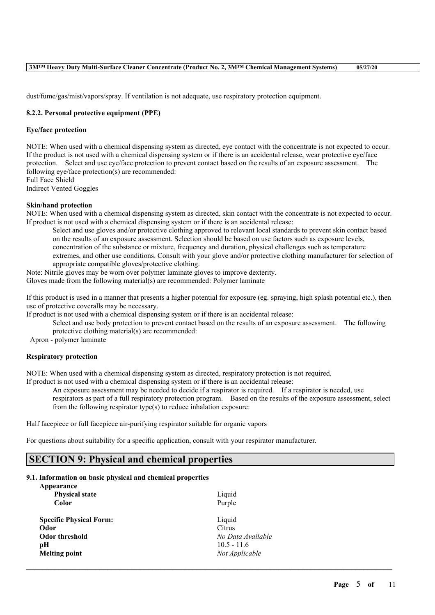dust/fume/gas/mist/vapors/spray. If ventilation is not adequate, use respiratory protection equipment.

# **8.2.2. Personal protective equipment (PPE)**

# **Eye/face protection**

NOTE: When used with a chemical dispensing system as directed, eye contact with the concentrate is not expected to occur. If the product is not used with a chemical dispensing system or if there is an accidental release, wear protective eye/face protection. Select and use eye/face protection to prevent contact based on the results of an exposure assessment. The following eye/face protection(s) are recommended: Full Face Shield

Indirect Vented Goggles

### **Skin/hand protection**

NOTE: When used with a chemical dispensing system as directed, skin contact with the concentrate is not expected to occur. If product is not used with a chemical dispensing system or if there is an accidental release:

Select and use gloves and/or protective clothing approved to relevant local standards to prevent skin contact based on the results of an exposure assessment. Selection should be based on use factors such as exposure levels, concentration of the substance or mixture, frequency and duration, physical challenges such as temperature extremes, and other use conditions. Consult with your glove and/or protective clothing manufacturer for selection of appropriate compatible gloves/protective clothing.

Note: Nitrile gloves may be worn over polymer laminate gloves to improve dexterity. Gloves made from the following material(s) are recommended: Polymer laminate

If this product is used in a manner that presents a higher potential for exposure (eg. spraying, high splash potential etc.), then use of protective coveralls may be necessary.

If product is not used with a chemical dispensing system or if there is an accidental release:

Select and use body protection to prevent contact based on the results of an exposure assessment. The following protective clothing material(s) are recommended:

Apron - polymer laminate

# **Respiratory protection**

NOTE: When used with a chemical dispensing system as directed, respiratory protection is not required. If product is not used with a chemical dispensing system or if there is an accidental release:

An exposure assessment may be needed to decide if a respirator is required. If a respirator is needed, use respirators as part of a full respiratory protection program. Based on the results of the exposure assessment, select from the following respirator type(s) to reduce inhalation exposure:

 $\mathcal{L}_\mathcal{L} = \mathcal{L}_\mathcal{L} = \mathcal{L}_\mathcal{L} = \mathcal{L}_\mathcal{L} = \mathcal{L}_\mathcal{L} = \mathcal{L}_\mathcal{L} = \mathcal{L}_\mathcal{L} = \mathcal{L}_\mathcal{L} = \mathcal{L}_\mathcal{L} = \mathcal{L}_\mathcal{L} = \mathcal{L}_\mathcal{L} = \mathcal{L}_\mathcal{L} = \mathcal{L}_\mathcal{L} = \mathcal{L}_\mathcal{L} = \mathcal{L}_\mathcal{L} = \mathcal{L}_\mathcal{L} = \mathcal{L}_\mathcal{L}$ 

Half facepiece or full facepiece air-purifying respirator suitable for organic vapors

For questions about suitability for a specific application, consult with your respirator manufacturer.

# **SECTION 9: Physical and chemical properties**

#### **9.1. Information on basic physical and chemical properties Appearance**

| Appearance                     |                   |
|--------------------------------|-------------------|
| <b>Physical state</b>          | Liquid            |
| Color                          | Purple            |
| <b>Specific Physical Form:</b> | Liquid            |
| Odor                           | Citrus            |
| Odor threshold                 | No Data Available |
| рH                             | $10.5 - 11.6$     |
| <b>Melting point</b>           | Not Applicable    |
|                                |                   |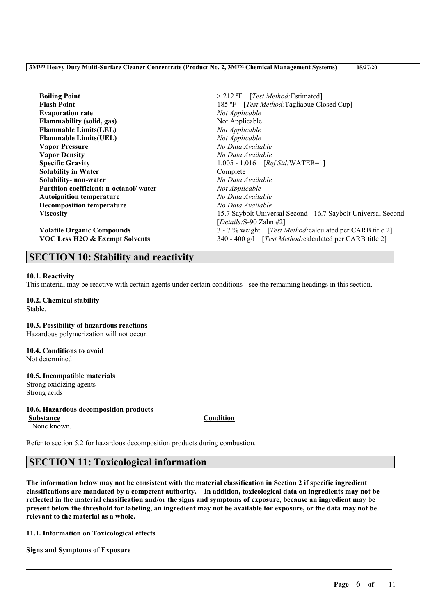| <b>Boiling Point</b>                      | $>$ 212 °F [ <i>Test Method</i> : Estimated]                      |
|-------------------------------------------|-------------------------------------------------------------------|
| <b>Flash Point</b>                        | 185 °F [Test Method: Tagliabue Closed Cup]                        |
| <b>Evaporation rate</b>                   | Not Applicable                                                    |
| <b>Flammability</b> (solid, gas)          | Not Applicable                                                    |
| <b>Flammable Limits(LEL)</b>              | Not Applicable                                                    |
| <b>Flammable Limits(UEL)</b>              | Not Applicable                                                    |
| <b>Vapor Pressure</b>                     | No Data Available                                                 |
| <b>Vapor Density</b>                      | No Data Available                                                 |
| <b>Specific Gravity</b>                   | $1.005 - 1.016$ [ <i>Ref Std</i> :WATER=1]                        |
| <b>Solubility in Water</b>                | Complete                                                          |
| Solubility- non-water                     | No Data Available                                                 |
| Partition coefficient: n-octanol/water    | Not Applicable                                                    |
| <b>Autoignition temperature</b>           | No Data Available                                                 |
| <b>Decomposition temperature</b>          | No Data Available                                                 |
| <b>Viscosity</b>                          | 15.7 Saybolt Universal Second - 16.7 Saybolt Universal Second     |
|                                           | [Details: S-90 Zahn $#2$ ]                                        |
| <b>Volatile Organic Compounds</b>         | 3 - 7 % weight [ <i>Test Method:calculated per CARB title 2</i> ] |
| <b>VOC Less H2O &amp; Exempt Solvents</b> | 340 - 400 g/l [Test Method: calculated per CARB title 2]          |

# **SECTION 10: Stability and reactivity**

### **10.1. Reactivity**

This material may be reactive with certain agents under certain conditions - see the remaining headings in this section.

#### **10.2. Chemical stability** Stable.

**10.3. Possibility of hazardous reactions** Hazardous polymerization will not occur.

#### **10.4. Conditions to avoid** Not determined

# **10.5. Incompatible materials** Strong oxidizing agents

Strong acids

# **10.6. Hazardous decomposition products**

**Substance Condition** None known.

Refer to section 5.2 for hazardous decomposition products during combustion.

# **SECTION 11: Toxicological information**

The information below may not be consistent with the material classification in Section 2 if specific ingredient **classifications are mandated by a competent authority. In addition, toxicological data on ingredients may not be** reflected in the material classification and/or the signs and symptoms of exposure, because an ingredient may be present below the threshold for labeling, an ingredient may not be available for exposure, or the data may not be **relevant to the material as a whole.**

 $\mathcal{L}_\mathcal{L} = \mathcal{L}_\mathcal{L} = \mathcal{L}_\mathcal{L} = \mathcal{L}_\mathcal{L} = \mathcal{L}_\mathcal{L} = \mathcal{L}_\mathcal{L} = \mathcal{L}_\mathcal{L} = \mathcal{L}_\mathcal{L} = \mathcal{L}_\mathcal{L} = \mathcal{L}_\mathcal{L} = \mathcal{L}_\mathcal{L} = \mathcal{L}_\mathcal{L} = \mathcal{L}_\mathcal{L} = \mathcal{L}_\mathcal{L} = \mathcal{L}_\mathcal{L} = \mathcal{L}_\mathcal{L} = \mathcal{L}_\mathcal{L}$ 

**11.1. Information on Toxicological effects**

**Signs and Symptoms of Exposure**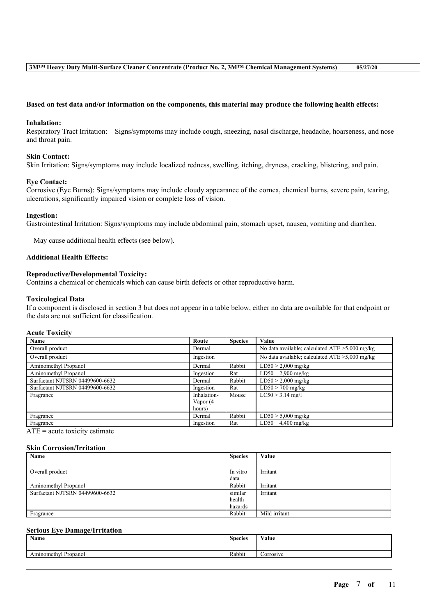### Based on test data and/or information on the components, this material may produce the following health effects:

#### **Inhalation:**

Respiratory Tract Irritation: Signs/symptoms may include cough, sneezing, nasal discharge, headache, hoarseness, and nose and throat pain.

## **Skin Contact:**

Skin Irritation: Signs/symptoms may include localized redness, swelling, itching, dryness, cracking, blistering, and pain.

### **Eye Contact:**

Corrosive (Eye Burns): Signs/symptoms may include cloudy appearance of the cornea, chemical burns, severe pain, tearing, ulcerations, significantly impaired vision or complete loss of vision.

#### **Ingestion:**

Gastrointestinal Irritation: Signs/symptoms may include abdominal pain, stomach upset, nausea, vomiting and diarrhea.

May cause additional health effects (see below).

# **Additional Health Effects:**

### **Reproductive/Developmental Toxicity:**

Contains a chemical or chemicals which can cause birth defects or other reproductive harm.

#### **Toxicological Data**

If a component is disclosed in section 3 but does not appear in a table below, either no data are available for that endpoint or the data are not sufficient for classification.

#### **Acute Toxicity**

| Name                            | Route       | <b>Species</b> | Value                                             |
|---------------------------------|-------------|----------------|---------------------------------------------------|
| Overall product                 | Dermal      |                | No data available; calculated $ATE > 5,000$ mg/kg |
| Overall product                 | Ingestion   |                | No data available; calculated $ATE > 5,000$ mg/kg |
| Aminomethyl Propanol            | Dermal      | Rabbit         | $LD50 > 2,000$ mg/kg                              |
| Aminomethyl Propanol            | Ingestion   | Rat            | LD50 $2,900$ mg/kg                                |
| Surfactant NJTSRN 04499600-6632 | Dermal      | Rabbit         | $LD50 > 2,000$ mg/kg                              |
| Surfactant NJTSRN 04499600-6632 | Ingestion   | Rat            | $LD50 > 700$ mg/kg                                |
| Fragrance                       | Inhalation- | Mouse          | $LC50 > 3.14$ mg/l                                |
|                                 | Vapor (4    |                |                                                   |
|                                 | hours)      |                |                                                   |
| Fragrance                       | Dermal      | Rabbit         | $LD50 > 5,000$ mg/kg                              |
| Fragrance                       | Ingestion   | Rat            | $LD50$ 4,400 mg/kg                                |

 $ATE = acute$  toxicity estimate

#### **Skin Corrosion/Irritation**

| Name                            | <b>Species</b> | Value         |
|---------------------------------|----------------|---------------|
|                                 |                |               |
| Overall product                 | In vitro       | Irritant      |
|                                 | data           |               |
| Aminomethyl Propanol            | Rabbit         | Irritant      |
| Surfactant NJTSRN 04499600-6632 | similar        | Irritant      |
|                                 | health         |               |
|                                 | hazards        |               |
| Fragrance                       | Rabbit         | Mild irritant |

# **Serious Eye Damage/Irritation**

| Name                                | <b>Species</b> | <b>WY 3</b><br>⁄ alue |
|-------------------------------------|----------------|-----------------------|
| <b>D</b><br>Aminomethyl<br>Propanol | Rabbit         | <b>Corrosive</b>      |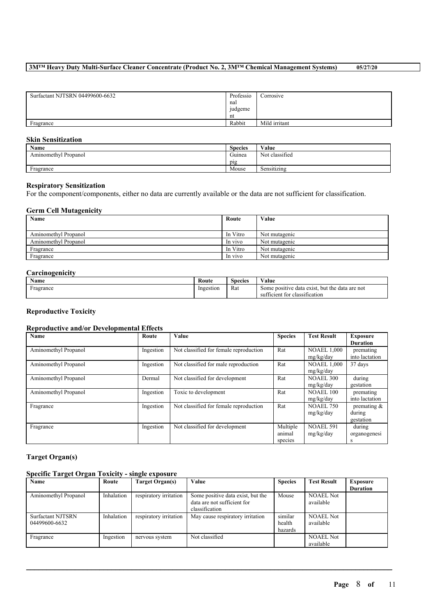| Surfactant NJTSRN 04499600-6632 | Professio | Corrosive     |
|---------------------------------|-----------|---------------|
|                                 | nal       |               |
|                                 | judgeme   |               |
|                                 | nt        |               |
| Fragrance                       | Rabbit    | Mild irritant |

# **Skin Sensitization**

| Name                 | <b>Species</b> | Value          |
|----------------------|----------------|----------------|
| Aminomethyl Propanol | Guinea         | Not classified |
|                      | pig            |                |
| Fragrance            | Mouse          | Sensitizing    |
|                      |                |                |

### **Respiratory Sensitization**

For the component/components, either no data are currently available or the data are not sufficient for classification.

# **Germ Cell Mutagenicity**

| Name                 | Route    | Value         |
|----------------------|----------|---------------|
|                      |          |               |
| Aminomethyl Propanol | In Vitro | Not mutagenic |
| Aminomethyl Propanol | In vivo  | Not mutagenic |
| Fragrance            | In Vitro | Not mutagenic |
| Fragrance            | In vivo  | Not mutagenic |

# **Carcinogenicity**

| <b>BY</b><br>Name | Route     | <b>Species</b> | ⁄ alue                                               |
|-------------------|-----------|----------------|------------------------------------------------------|
| Fragrance         | Ingestion | Rat<br>.       | but the<br>Some positive data exist.<br>data are not |
|                   |           |                | sufficient for classification                        |

# **Reproductive Toxicity**

# **Reproductive and/or Developmental Effects**

| Name                 | Route     | Value                                  | <b>Species</b> | <b>Test Result</b> | <b>Exposure</b> |
|----------------------|-----------|----------------------------------------|----------------|--------------------|-----------------|
|                      |           |                                        |                |                    | <b>Duration</b> |
| Aminomethyl Propanol | Ingestion | Not classified for female reproduction | Rat            | <b>NOAEL 1,000</b> | premating       |
|                      |           |                                        |                | mg/kg/day          | into lactation  |
| Aminomethyl Propanol | Ingestion | Not classified for male reproduction   | Rat            | <b>NOAEL 1,000</b> | 37 days         |
|                      |           |                                        |                | mg/kg/day          |                 |
| Aminomethyl Propanol | Dermal    | Not classified for development         | Rat            | <b>NOAEL 300</b>   | during          |
|                      |           |                                        |                | mg/kg/day          | gestation       |
| Aminomethyl Propanol | Ingestion | Toxic to development                   | Rat            | <b>NOAEL 100</b>   | premating       |
|                      |           |                                        |                | mg/kg/day          | into lactation  |
| Fragrance            | Ingestion | Not classified for female reproduction | Rat            | <b>NOAEL 750</b>   | premating $\&$  |
|                      |           |                                        |                | mg/kg/day          | during          |
|                      |           |                                        |                |                    | gestation       |
| Fragrance            | Ingestion | Not classified for development         | Multiple       | <b>NOAEL 591</b>   | during          |
|                      |           |                                        | animal         | mg/kg/day          | organogenesi    |
|                      |           |                                        | species        |                    | s               |

### **Target Organ(s)**

# **Specific Target Organ Toxicity - single exposure**

| Name                                      | Route      | Target Organ(s)        | Value                                                                              | <b>Species</b>               | <b>Test Result</b>            | Exposure        |
|-------------------------------------------|------------|------------------------|------------------------------------------------------------------------------------|------------------------------|-------------------------------|-----------------|
|                                           |            |                        |                                                                                    |                              |                               | <b>Duration</b> |
| Aminomethyl Propanol                      | Inhalation | respiratory irritation | Some positive data exist, but the<br>data are not sufficient for<br>classification | Mouse                        | <b>NOAEL Not</b><br>available |                 |
| <b>Surfactant NJTSRN</b><br>04499600-6632 | Inhalation | respiratory irritation | May cause respiratory irritation                                                   | similar<br>health<br>hazards | <b>NOAEL Not</b><br>available |                 |
| Fragrance                                 | Ingestion  | nervous system         | Not classified                                                                     |                              | <b>NOAEL Not</b><br>available |                 |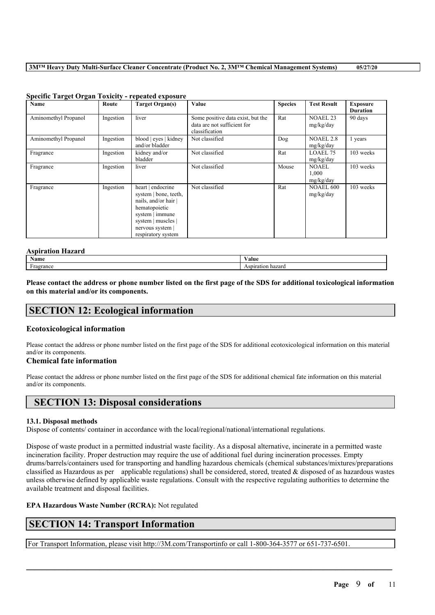| <b>Name</b>          | Route     | Target Organ(s)                                                                                                                                                      | Value                                                                              | <b>Species</b> | <b>Test Result</b>                 | <b>Exposure</b><br><b>Duration</b> |
|----------------------|-----------|----------------------------------------------------------------------------------------------------------------------------------------------------------------------|------------------------------------------------------------------------------------|----------------|------------------------------------|------------------------------------|
| Aminomethyl Propanol | Ingestion | liver                                                                                                                                                                | Some positive data exist, but the<br>data are not sufficient for<br>classification | Rat            | <b>NOAEL 23</b><br>mg/kg/day       | 90 days                            |
| Aminomethyl Propanol | Ingestion | blood   eyes   kidney<br>and/or bladder                                                                                                                              | Not classified                                                                     | Dog            | <b>NOAEL 2.8</b><br>mg/kg/day      | 1 years                            |
| Fragrance            | Ingestion | kidney and/or<br>bladder                                                                                                                                             | Not classified                                                                     | Rat            | LOAEL 75<br>mg/kg/day              | 103 weeks                          |
| Fragrance            | Ingestion | liver                                                                                                                                                                | Not classified                                                                     | Mouse          | <b>NOAEL</b><br>1,000<br>mg/kg/day | 103 weeks                          |
| Fragrance            | Ingestion | heart   endocrine<br>system   bone, teeth,<br>nails, and/or hair<br>hematopoietic<br>system   immune<br>system   muscles  <br>nervous system  <br>respiratory system | Not classified                                                                     | Rat            | <b>NOAEL 600</b><br>mg/kg/day      | 103 weeks                          |

### **Specific Target Organ Toxicity - repeated exposure**

# **Aspiration Hazard**

| <b>Name</b>                              | ⁄ alue                                       |
|------------------------------------------|----------------------------------------------|
| <b>1999</b><br>ooronoc<br>a orr<br>™ance | hazard<br>$0.028 \pm 0.02$<br>D.<br><br>79 L |

Please contact the address or phone number listed on the first page of the SDS for additional toxicological information **on this material and/or its components.**

# **SECTION 12: Ecological information**

# **Ecotoxicological information**

Please contact the address or phone number listed on the first page of the SDS for additional ecotoxicological information on this material and/or its components.

# **Chemical fate information**

Please contact the address or phone number listed on the first page of the SDS for additional chemical fate information on this material and/or its components.

# **SECTION 13: Disposal considerations**

# **13.1. Disposal methods**

Dispose of contents/ container in accordance with the local/regional/national/international regulations.

Dispose of waste product in a permitted industrial waste facility. As a disposal alternative, incinerate in a permitted waste incineration facility. Proper destruction may require the use of additional fuel during incineration processes. Empty drums/barrels/containers used for transporting and handling hazardous chemicals (chemical substances/mixtures/preparations classified as Hazardous as per applicable regulations) shall be considered, stored, treated  $\&$  disposed of as hazardous wastes unless otherwise defined by applicable waste regulations. Consult with the respective regulating authorities to determine the available treatment and disposal facilities.

 $\mathcal{L}_\mathcal{L} = \mathcal{L}_\mathcal{L} = \mathcal{L}_\mathcal{L} = \mathcal{L}_\mathcal{L} = \mathcal{L}_\mathcal{L} = \mathcal{L}_\mathcal{L} = \mathcal{L}_\mathcal{L} = \mathcal{L}_\mathcal{L} = \mathcal{L}_\mathcal{L} = \mathcal{L}_\mathcal{L} = \mathcal{L}_\mathcal{L} = \mathcal{L}_\mathcal{L} = \mathcal{L}_\mathcal{L} = \mathcal{L}_\mathcal{L} = \mathcal{L}_\mathcal{L} = \mathcal{L}_\mathcal{L} = \mathcal{L}_\mathcal{L}$ 

# **EPA Hazardous Waste Number (RCRA):** Not regulated

# **SECTION 14: Transport Information**

For Transport Information, please visit http://3M.com/Transportinfo or call 1-800-364-3577 or 651-737-6501.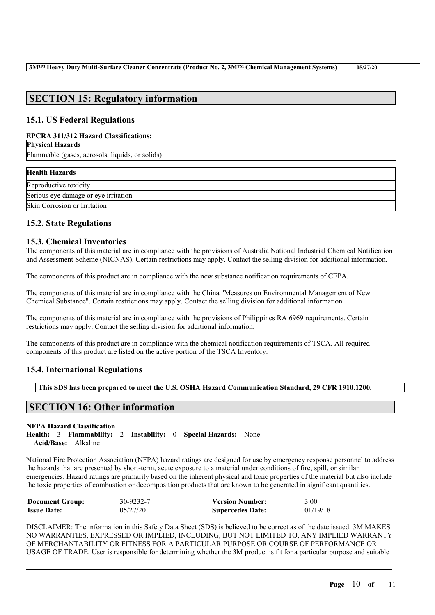# **SECTION 15: Regulatory information**

# **15.1. US Federal Regulations**

# **EPCRA 311/312 Hazard Classifications:**

| <b>Physical Hazards</b>                         |  |
|-------------------------------------------------|--|
| Flammable (gases, aerosols, liquids, or solids) |  |

| <b>Health Hazards</b>                |
|--------------------------------------|
| Reproductive toxicity                |
| Serious eye damage or eye irritation |
| Skin Corrosion or Irritation         |

# **15.2. State Regulations**

# **15.3. Chemical Inventories**

The components of this material are in compliance with the provisions of Australia National Industrial Chemical Notification and Assessment Scheme (NICNAS). Certain restrictions may apply. Contact the selling division for additional information.

The components of this product are in compliance with the new substance notification requirements of CEPA.

The components of this material are in compliance with the China "Measures on Environmental Management of New Chemical Substance". Certain restrictions may apply. Contact the selling division for additional information.

The components of this material are in compliance with the provisions of Philippines RA 6969 requirements. Certain restrictions may apply. Contact the selling division for additional information.

The components of this product are in compliance with the chemical notification requirements of TSCA. All required components of this product are listed on the active portion of the TSCA Inventory.

# **15.4. International Regulations**

**This SDS has been prepared to meet the U.S. OSHA Hazard Communication Standard, 29 CFR 1910.1200.**

# **SECTION 16: Other information**

# **NFPA Hazard Classification**

**Health:** 3 **Flammability:** 2 **Instability:** 0 **Special Hazards:** None **Acid/Base:** Alkaline

National Fire Protection Association (NFPA) hazard ratings are designed for use by emergency response personnel to address the hazards that are presented by short-term, acute exposure to a material under conditions of fire, spill, or similar emergencies. Hazard ratings are primarily based on the inherent physical and toxic properties of the material but also include the toxic properties of combustion or decomposition products that are known to be generated in significant quantities.

| <b>Document Group:</b> | 30-9232-7 | <b>Version Number:</b>  | 3.00     |
|------------------------|-----------|-------------------------|----------|
| <b>Issue Date:</b>     | 05/27/20  | <b>Supercedes Date:</b> | 01/19/18 |

DISCLAIMER: The information in this Safety Data Sheet (SDS) is believed to be correct as of the date issued. 3M MAKES NO WARRANTIES, EXPRESSED OR IMPLIED, INCLUDING, BUT NOT LIMITED TO, ANY IMPLIED WARRANTY OF MERCHANTABILITY OR FITNESS FOR A PARTICULAR PURPOSE OR COURSE OF PERFORMANCE OR USAGE OF TRADE. User is responsible for determining whether the 3M product is fit for a particular purpose and suitable